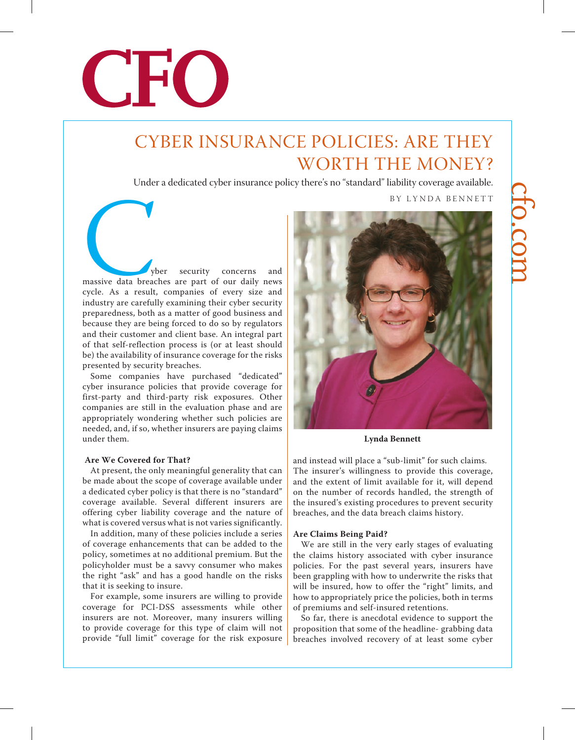

## CYBER INSURANCE POLICIES: ARE THEY WORTH THE MONEY?

Under a dedicated cyber insurance policy there's no "standard" liability coverage available.

BY LYNDA BENNETT

Wer security concerns and<br>
massive data breaches are part of our daily news<br>
cycle. As a result, companies of every size and<br>
industry are carefully examining their cyber security massive data breaches are part of our daily news cycle. As a result, companies of every size and industry are carefully examining their cyber security preparedness, both as a matter of good business and because they are being forced to do so by regulators and their customer and client base. An integral part of that self-reflection process is (or at least should be) the availability of insurance coverage for the risks presented by security breaches.

Some companies have purchased "dedicated" cyber insurance policies that provide coverage for first-party and third-party risk exposures. Other companies are still in the evaluation phase and are appropriately wondering whether such policies are needed, and, if so, whether insurers are paying claims under them.

### **Are We Covered for That?**

At present, the only meaningful generality that can be made about the scope of coverage available under a dedicated cyber policy is that there is no "standard" coverage available. Several different insurers are offering cyber liability coverage and the nature of what is covered versus what is not varies significantly.

In addition, many of these policies include a series of coverage enhancements that can be added to the policy, sometimes at no additional premium. But the policyholder must be a savvy consumer who makes the right "ask" and has a good handle on the risks that it is seeking to insure.

For example, some insurers are willing to provide coverage for PCI-DSS assessments while other insurers are not. Moreover, many insurers willing to provide coverage for this type of claim will not provide "full limit" coverage for the risk exposure



**Lynda Bennett**

and instead will place a "sub-limit" for such claims. The insurer's willingness to provide this coverage, and the extent of limit available for it, will depend on the number of records handled, the strength of the insured's existing procedures to prevent security breaches, and the data breach claims history.

### **Are Claims Being Paid?**

We are still in the very early stages of evaluating the claims history associated with cyber insurance policies. For the past several years, insurers have been grappling with how to underwrite the risks that will be insured, how to offer the "right" limits, and how to appropriately price the policies, both in terms of premiums and self-insured retentions.

So far, there is anecdotal evidence to support the proposition that some of the headline- grabbing data breaches involved recovery of at least some cyber